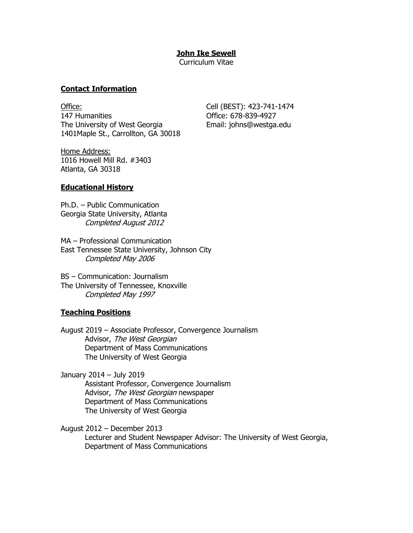## **John Ike Sewell**

Curriculum Vitae

## **Contact Information**

Office: Cell (BEST): 423-741-1474 147 Humanities Office: 678-839-4927 The University of West Georgia Email: johns@westga.edu 1401Maple St., Carrollton, GA 30018

Home Address: 1016 Howell Mill Rd. #3403 Atlanta, GA 30318

## **Educational History**

Ph.D. – Public Communication Georgia State University, Atlanta Completed August 2012

MA – Professional Communication East Tennessee State University, Johnson City Completed May 2006

BS – Communication: Journalism The University of Tennessee, Knoxville Completed May 1997

## **Teaching Positions**

August 2019 – Associate Professor, Convergence Journalism Advisor, The West Georgian Department of Mass Communications The University of West Georgia

January 2014 – July 2019 Assistant Professor, Convergence Journalism Advisor, The West Georgian newspaper Department of Mass Communications The University of West Georgia

August 2012 – December 2013

Lecturer and Student Newspaper Advisor: The University of West Georgia, Department of Mass Communications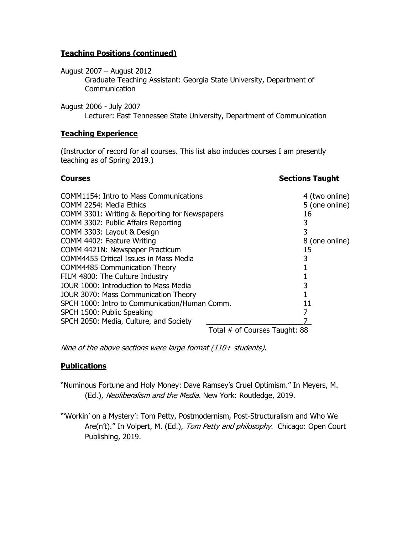## **Teaching Positions (continued)**

August 2007 – August 2012

Graduate Teaching Assistant: Georgia State University, Department of **Communication** 

August 2006 - July 2007

Lecturer: East Tennessee State University, Department of Communication

## **Teaching Experience**

(Instructor of record for all courses. This list also includes courses I am presently teaching as of Spring 2019.)

## **Courses Sections Taught**

| COMM1154: Intro to Mass Communications        |                               | 4 (two online) |
|-----------------------------------------------|-------------------------------|----------------|
| COMM 2254: Media Ethics                       |                               | 5 (one online) |
| COMM 3301: Writing & Reporting for Newspapers |                               | 16             |
| COMM 3302: Public Affairs Reporting           |                               | 3              |
| COMM 3303: Layout & Design                    |                               | 3              |
| COMM 4402: Feature Writing                    |                               | 8 (one online) |
| COMM 4421N: Newspaper Practicum               |                               | 15             |
| <b>COMM4455 Critical Issues in Mass Media</b> |                               | 3              |
| <b>COMM4485 Communication Theory</b>          |                               |                |
| FILM 4800: The Culture Industry               |                               |                |
| JOUR 1000: Introduction to Mass Media         |                               | 3              |
| JOUR 3070: Mass Communication Theory          |                               |                |
| SPCH 1000: Intro to Communication/Human Comm. |                               | 11             |
| SPCH 1500: Public Speaking                    |                               |                |
| SPCH 2050: Media, Culture, and Society        |                               |                |
|                                               | Total # of Courses Taught: 88 |                |

Nine of the above sections were large format (110+ students).

# **Publications**

"Numinous Fortune and Holy Money: Dave Ramsey's Cruel Optimism." In Meyers, M. (Ed.), Neoliberalism and the Media. New York: Routledge, 2019.

"'Workin' on a Mystery': Tom Petty, Postmodernism, Post-Structuralism and Who We Are(n't)." In Volpert, M. (Ed.), Tom Petty and philosophy. Chicago: Open Court Publishing, 2019.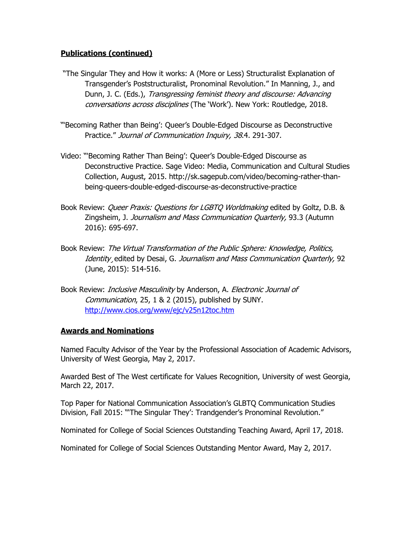# **Publications (continued)**

- "The Singular They and How it works: A (More or Less) Structuralist Explanation of Transgender's Poststructuralist, Pronominal Revolution." In Manning, J., and Dunn, J. C. (Eds.), Transgressing feminist theory and discourse: Advancing conversations across disciplines (The 'Work'). New York: Routledge, 2018.
- "'Becoming Rather than Being': Queer's Double-Edged Discourse as Deconstructive Practice." Journal of Communication Inquiry, 38.4. 291-307.
- Video: "'Becoming Rather Than Being': Queer's Double-Edged Discourse as Deconstructive Practice. Sage Video: Media, Communication and Cultural Studies Collection, August, 2015. http://sk.sagepub.com/video/becoming-rather-thanbeing-queers-double-edged-discourse-as-deconstructive-practice
- Book Review: *Queer Praxis: Questions for LGBTQ Worldmaking* edited by Goltz, D.B. & Zingsheim, J. Journalism and Mass Communication Quarterly, 93.3 (Autumn 2016): 695-697.
- Book Review: The Virtual Transformation of the Public Sphere: Knowledge, Politics, Identity edited by Desai, G. Journalism and Mass Communication Quarterly, 92 (June, 2015): 514-516.
- Book Review: *Inclusive Masculinity* by Anderson, A. *Electronic Journal of* Communication, 25, 1 & 2 (2015), published by SUNY. <http://www.cios.org/www/ejc/v25n12toc.htm>

## **Awards and Nominations**

Named Faculty Advisor of the Year by the Professional Association of Academic Advisors, University of West Georgia, May 2, 2017.

Awarded Best of The West certificate for Values Recognition, University of west Georgia, March 22, 2017.

Top Paper for National Communication Association's GLBTQ Communication Studies Division, Fall 2015: "'The Singular They': Trandgender's Pronominal Revolution."

Nominated for College of Social Sciences Outstanding Teaching Award, April 17, 2018.

Nominated for College of Social Sciences Outstanding Mentor Award, May 2, 2017.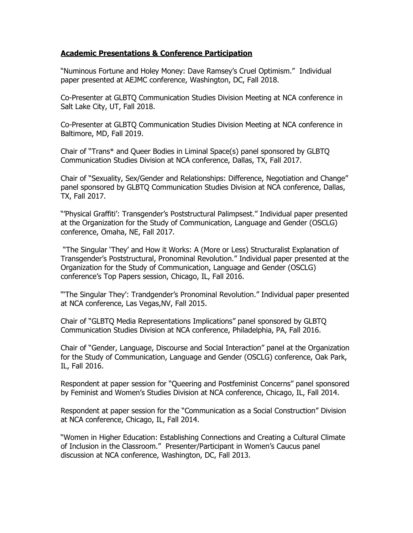## **Academic Presentations & Conference Participation**

"Numinous Fortune and Holey Money: Dave Ramsey's Cruel Optimism." Individual paper presented at AEJMC conference, Washington, DC, Fall 2018.

Co-Presenter at GLBTQ Communication Studies Division Meeting at NCA conference in Salt Lake City, UT, Fall 2018.

Co-Presenter at GLBTQ Communication Studies Division Meeting at NCA conference in Baltimore, MD, Fall 2019.

Chair of "Trans\* and Queer Bodies in Liminal Space(s) panel sponsored by GLBTQ Communication Studies Division at NCA conference, Dallas, TX, Fall 2017.

Chair of "Sexuality, Sex/Gender and Relationships: Difference, Negotiation and Change" panel sponsored by GLBTQ Communication Studies Division at NCA conference, Dallas, TX, Fall 2017.

"'Physical Graffiti': Transgender's Poststructural Palimpsest." Individual paper presented at the Organization for the Study of Communication, Language and Gender (OSCLG) conference, Omaha, NE, Fall 2017.

"The Singular 'They' and How it Works: A (More or Less) Structuralist Explanation of Transgender's Poststructural, Pronominal Revolution." Individual paper presented at the Organization for the Study of Communication, Language and Gender (OSCLG) conference's Top Papers session, Chicago, IL, Fall 2016.

"'The Singular They': Trandgender's Pronominal Revolution." Individual paper presented at NCA conference, Las Vegas,NV, Fall 2015.

Chair of "GLBTQ Media Representations Implications" panel sponsored by GLBTQ Communication Studies Division at NCA conference, Philadelphia, PA, Fall 2016.

Chair of "Gender, Language, Discourse and Social Interaction" panel at the Organization for the Study of Communication, Language and Gender (OSCLG) conference, Oak Park, IL, Fall 2016.

Respondent at paper session for "Queering and Postfeminist Concerns" panel sponsored by Feminist and Women's Studies Division at NCA conference, Chicago, IL, Fall 2014.

Respondent at paper session for the "Communication as a Social Construction" Division at NCA conference, Chicago, IL, Fall 2014.

"Women in Higher Education: Establishing Connections and Creating a Cultural Climate of Inclusion in the Classroom." Presenter/Participant in Women's Caucus panel discussion at NCA conference, Washington, DC, Fall 2013.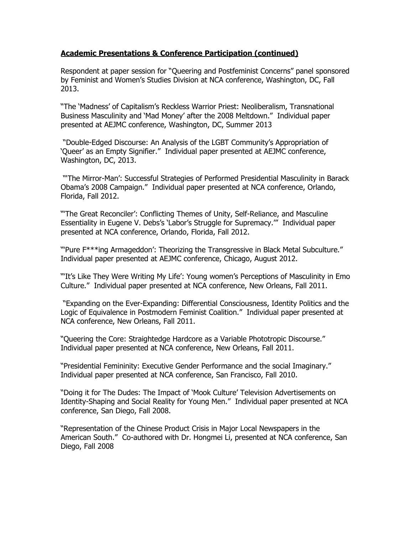## **Academic Presentations & Conference Participation (continued)**

Respondent at paper session for "Queering and Postfeminist Concerns" panel sponsored by Feminist and Women's Studies Division at NCA conference, Washington, DC, Fall 2013.

"The 'Madness' of Capitalism's Reckless Warrior Priest: Neoliberalism, Transnational Business Masculinity and 'Mad Money' after the 2008 Meltdown." Individual paper presented at AEJMC conference, Washington, DC, Summer 2013

"Double-Edged Discourse: An Analysis of the LGBT Community's Appropriation of 'Queer' as an Empty Signifier." Individual paper presented at AEJMC conference, Washington, DC, 2013.

"'The Mirror-Man': Successful Strategies of Performed Presidential Masculinity in Barack Obama's 2008 Campaign." Individual paper presented at NCA conference, Orlando, Florida, Fall 2012.

"'The Great Reconciler': Conflicting Themes of Unity, Self-Reliance, and Masculine Essentiality in Eugene V. Debs's 'Labor's Struggle for Supremacy.'" Individual paper presented at NCA conference, Orlando, Florida, Fall 2012.

"'Pure F\*\*\*ing Armageddon': Theorizing the Transgressive in Black Metal Subculture." Individual paper presented at AEJMC conference, Chicago, August 2012.

"'It's Like They Were Writing My Life': Young women's Perceptions of Masculinity in Emo Culture." Individual paper presented at NCA conference, New Orleans, Fall 2011.

"Expanding on the Ever-Expanding: Differential Consciousness, Identity Politics and the Logic of Equivalence in Postmodern Feminist Coalition." Individual paper presented at NCA conference, New Orleans, Fall 2011.

"Queering the Core: Straightedge Hardcore as a Variable Phototropic Discourse." Individual paper presented at NCA conference, New Orleans, Fall 2011.

"Presidential Femininity: Executive Gender Performance and the social Imaginary." Individual paper presented at NCA conference, San Francisco, Fall 2010.

"Doing it for The Dudes: The Impact of 'Mook Culture' Television Advertisements on Identity-Shaping and Social Reality for Young Men." Individual paper presented at NCA conference, San Diego, Fall 2008.

"Representation of the Chinese Product Crisis in Major Local Newspapers in the American South." Co-authored with Dr. Hongmei Li, presented at NCA conference, San Diego, Fall 2008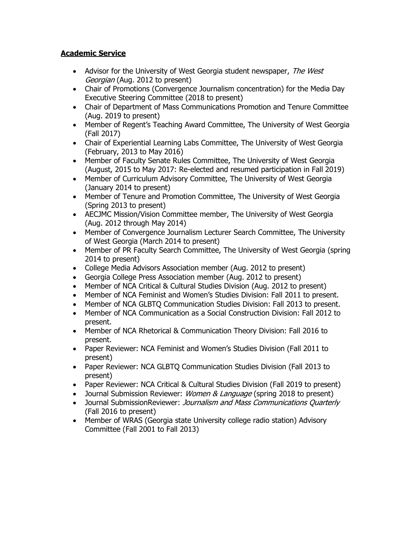# **Academic Service**

- Advisor for the University of West Georgia student newspaper, The West Georgian (Aug. 2012 to present)
- Chair of Promotions (Convergence Journalism concentration) for the Media Day Executive Steering Committee (2018 to present)
- Chair of Department of Mass Communications Promotion and Tenure Committee (Aug. 2019 to present)
- Member of Regent's Teaching Award Committee, The University of West Georgia (Fall 2017)
- Chair of Experiential Learning Labs Committee, The University of West Georgia (February, 2013 to May 2016)
- Member of Faculty Senate Rules Committee, The University of West Georgia (August, 2015 to May 2017: Re-elected and resumed participation in Fall 2019)
- Member of Curriculum Advisory Committee, The University of West Georgia (January 2014 to present)
- Member of Tenure and Promotion Committee, The University of West Georgia (Spring 2013 to present)
- AECJMC Mission/Vision Committee member, The University of West Georgia (Aug. 2012 through May 2014)
- Member of Convergence Journalism Lecturer Search Committee, The University of West Georgia (March 2014 to present)
- Member of PR Faculty Search Committee, The University of West Georgia (spring 2014 to present)
- College Media Advisors Association member (Aug. 2012 to present)
- Georgia College Press Association member (Aug. 2012 to present)
- Member of NCA Critical & Cultural Studies Division (Aug. 2012 to present)
- Member of NCA Feminist and Women's Studies Division: Fall 2011 to present.
- Member of NCA GLBTQ Communication Studies Division: Fall 2013 to present.
- Member of NCA Communication as a Social Construction Division: Fall 2012 to present.
- Member of NCA Rhetorical & Communication Theory Division: Fall 2016 to present.
- Paper Reviewer: NCA Feminist and Women's Studies Division (Fall 2011 to present)
- Paper Reviewer: NCA GLBTQ Communication Studies Division (Fall 2013 to present)
- Paper Reviewer: NCA Critical & Cultural Studies Division (Fall 2019 to present)
- Journal Submission Reviewer: *Women & Language* (spring 2018 to present)
- Journal SubmissionReviewer: *Journalism and Mass Communications Quarterly* (Fall 2016 to present)
- Member of WRAS (Georgia state University college radio station) Advisory Committee (Fall 2001 to Fall 2013)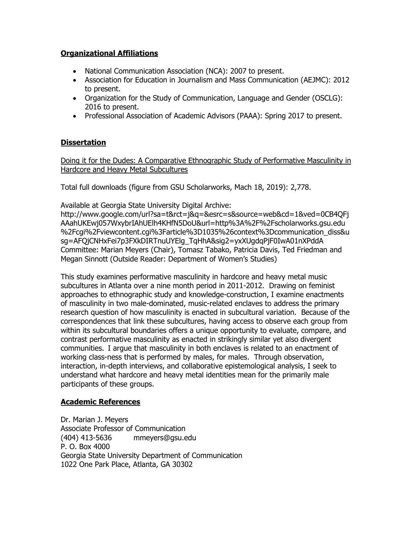# **Organizational Affiliations**

- National Communication Association (NCA): 2007 to present.
- Association for Education in Journalism and Mass Communication (AEJMC): 2012 to present.
- Organization for the Study of Communication, Language and Gender (OSCLG): 2016 to present.
- Professional Association of Academic Advisors (PAAA): Spring 2017 to present.

## **Dissertation**

Doing it for the Dudes: A Comparative Ethnographic Study of Performative Masculinity in Hardcore and Heavy Metal Subcultures

Total full downloads (figure from GSU Scholarworks, Mach 18, 2019): 2,778.

Available at Georgia State University Digital Archive:

http://www.google.com/url?sa=t&rct=j&q=&esrc=s&source=web&cd=1&ved=0CB4QFj AAahUKEwj057WxybrIAhUElh4KHfN5DoU&url=http%3A%2F%2Fscholarworks.gsu.edu %2Fcgi%2Fviewcontent.cgi%3Farticle%3D1035%26context%3Dcommunication\_diss&u sg=AFQjCNHxFei7p3FXkDIRTnuUYElg\_TqHhA&sig2=yxXUgdqPjF0IwA01nXPddA Committee: Marian Meyers (Chair), Tomasz Tabako, Patricia Davis, Ted Friedman and Megan Sinnott (Outside Reader: Department of Women's Studies)

This study examines performative masculinity in hardcore and heavy metal music subcultures in Atlanta over a nine month period in 2011-2012. Drawing on feminist approaches to ethnographic study and knowledge-construction, I examine enactments of masculinity in two male-dominated, music-related enclaves to address the primary research question of how masculinity is enacted in subcultural variation. Because of the correspondences that link these subcultures, having access to observe each group from within its subcultural boundaries offers a unique opportunity to evaluate, compare, and contrast performative masculinity as enacted in strikingly similar yet also divergent communities. I argue that masculinity in both enclaves is related to an enactment of working class-ness that is performed by males, for males. Through observation, interaction, in-depth interviews, and collaborative epistemological analysis, I seek to understand what hardcore and heavy metal identities mean for the primarily male participants of these groups.

## **Academic References**

Dr. Marian J. Meyers Associate Professor of Communication (404) 413-5636 [mmeyers@gsu.edu](mailto:mmeyers@gsu.edu) P. O. Box 4000 Georgia State University Department of Communication 1022 One Park Place, Atlanta, GA 30302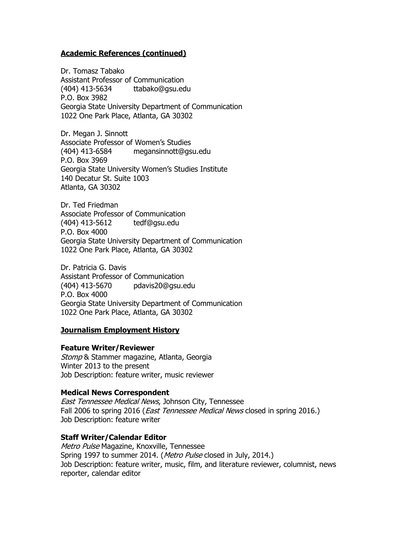#### **Academic References (continued)**

Dr. Tomasz Tabako Assistant Professor of Communication (404) 413-5634 ttabako@gsu.edu P.O. Box 3982 Georgia State University Department of Communication 1022 One Park Place, Atlanta, GA 30302

Dr. Megan J. Sinnott Associate Professor of Women's Studies (404) 413-6584 [megansinnott@gsu.edu](mailto:megansinnott@gsu.edu) P.O. Box 3969 Georgia State University Women's Studies Institute 140 Decatur St. Suite 1003 Atlanta, GA 30302

Dr. Ted Friedman Associate Professor of Communication (404) 413-5612 [tedf@gsu.edu](mailto:tedf@gsu.edu) P.O. Box 4000 Georgia State University Department of Communication 1022 One Park Place, Atlanta, GA 30302

Dr. Patricia G. Davis Assistant Professor of Communication (404) 413-5670 [pdavis20@gsu.edu](mailto:pdavis20@gsu.edu) P.O. Box 4000 Georgia State University Department of Communication 1022 One Park Place, Atlanta, GA 30302

## **Journalism Employment History**

#### **Feature Writer/Reviewer**

Stomp & Stammer magazine, Atlanta, Georgia Winter 2013 to the present Job Description: feature writer, music reviewer

#### **Medical News Correspondent**

East Tennessee Medical News, Johnson City, Tennessee Fall 2006 to spring 2016 (*East Tennessee Medical News* closed in spring 2016.) Job Description: feature writer

#### **Staff Writer/Calendar Editor**

Metro Pulse Magazine, Knoxville, Tennessee Spring 1997 to summer 2014. (Metro Pulse closed in July, 2014.) Job Description: feature writer, music, film, and literature reviewer, columnist, news reporter, calendar editor